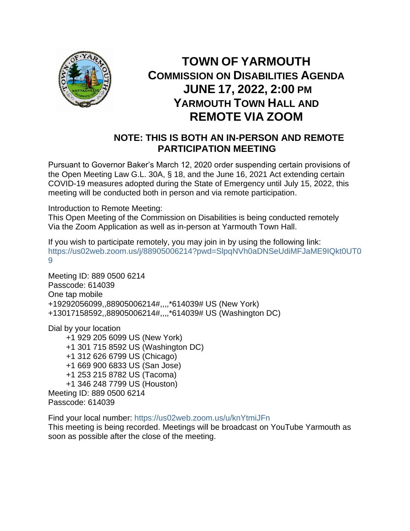

## **TOWN OF YARMOUTH COMMISSION ON DISABILITIES AGENDA JUNE 17, 2022, 2:00 PM YARMOUTH TOWN HALL AND REMOTE VIA ZOOM**

## **NOTE: THIS IS BOTH AN IN-PERSON AND REMOTE PARTICIPATION MEETING**

Pursuant to Governor Baker's March 12, 2020 order suspending certain provisions of the Open Meeting Law G.L. 30A, § 18, and the June 16, 2021 Act extending certain COVID-19 measures adopted during the State of Emergency until July 15, 2022, this meeting will be conducted both in person and via remote participation.

Introduction to Remote Meeting:

This Open Meeting of the Commission on Disabilities is being conducted remotely Via the Zoom Application as well as in-person at Yarmouth Town Hall.

If you wish to participate remotely, you may join in by using the following link: [https://us02web.zoom.us/j/88905006214?pwd=SlpqNVh0aDNSeUdiMFJaME9IQkt0UT0](https://us02web.zoom.us/j/88905006214?pwd=SlpqNVh0aDNSeUdiMFJaME9IQkt0UT09) [9](https://us02web.zoom.us/j/88905006214?pwd=SlpqNVh0aDNSeUdiMFJaME9IQkt0UT09)

Meeting ID: 889 0500 6214 Passcode: 614039 One tap mobile +19292056099,,88905006214#,,,,\*614039# US (New York) +13017158592,,88905006214#,,,,\*614039# US (Washington DC)

Dial by your location

 +1 929 205 6099 US (New York) +1 301 715 8592 US (Washington DC) +1 312 626 6799 US (Chicago) +1 669 900 6833 US (San Jose) +1 253 215 8782 US (Tacoma) +1 346 248 7799 US (Houston) Meeting ID: 889 0500 6214 Passcode: 614039

Find your local number:<https://us02web.zoom.us/u/knYtmiJFn> This meeting is being recorded. Meetings will be broadcast on YouTube Yarmouth as soon as possible after the close of the meeting.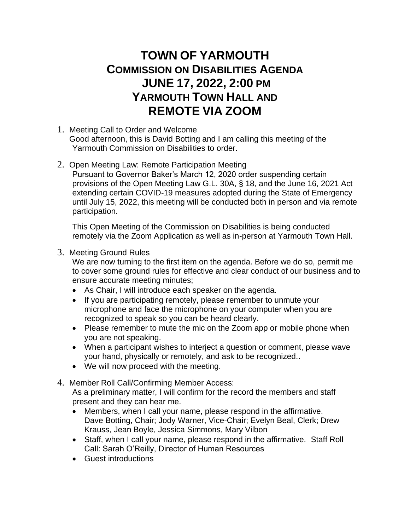## **TOWN OF YARMOUTH COMMISSION ON DISABILITIES AGENDA JUNE 17, 2022, 2:00 PM YARMOUTH TOWN HALL AND REMOTE VIA ZOOM**

- 1. Meeting Call to Order and Welcome Good afternoon, this is David Botting and I am calling this meeting of the Yarmouth Commission on Disabilities to order.
- 2. Open Meeting Law: Remote Participation Meeting

Pursuant to Governor Baker's March 12, 2020 order suspending certain provisions of the Open Meeting Law G.L. 30A, § 18, and the June 16, 2021 Act extending certain COVID-19 measures adopted during the State of Emergency until July 15, 2022, this meeting will be conducted both in person and via remote participation.

This Open Meeting of the Commission on Disabilities is being conducted remotely via the Zoom Application as well as in-person at Yarmouth Town Hall.

3. Meeting Ground Rules

We are now turning to the first item on the agenda. Before we do so, permit me to cover some ground rules for effective and clear conduct of our business and to ensure accurate meeting minutes;

- As Chair, I will introduce each speaker on the agenda.
- If you are participating remotely, please remember to unmute your microphone and face the microphone on your computer when you are recognized to speak so you can be heard clearly.
- Please remember to mute the mic on the Zoom app or mobile phone when you are not speaking.
- When a participant wishes to interject a question or comment, please wave your hand, physically or remotely, and ask to be recognized..
- We will now proceed with the meeting.
- 4. Member Roll Call/Confirming Member Access: As a preliminary matter, I will confirm for the record the members and staff present and they can hear me.
	- Members, when I call your name, please respond in the affirmative. Dave Botting, Chair; Jody Warner, Vice-Chair; Evelyn Beal, Clerk; Drew Krauss, Jean Boyle, Jessica Simmons, Mary Vilbon
	- Staff, when I call your name, please respond in the affirmative. Staff Roll Call: Sarah O'Reilly, Director of Human Resources
	- Guest introductions